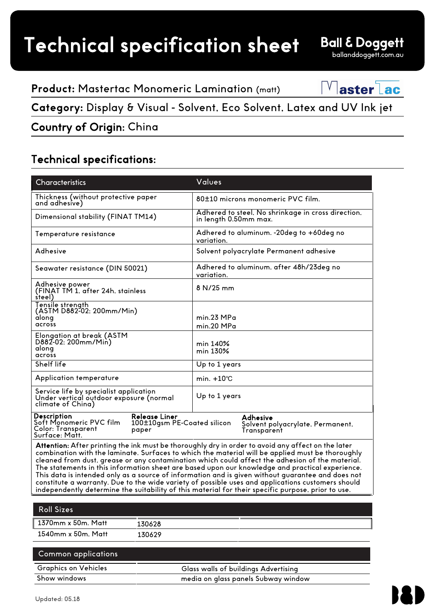**Product:** Mastertac Monomeric Lamination (matt)



**Category:** Display & Visual - Solvent, Eco Solvent, Latex and UV Ink jet

## Country of Origin: China

## Technical specifications:

| <b>Characteristics</b>                                                                                                                                                                                                                                                                                    | Values                                                                      |  |
|-----------------------------------------------------------------------------------------------------------------------------------------------------------------------------------------------------------------------------------------------------------------------------------------------------------|-----------------------------------------------------------------------------|--|
| Thickness (without protective paper<br>and adhesive)                                                                                                                                                                                                                                                      | 80±10 microns monomeric PVC film.                                           |  |
| Dimensional stability (FINAT TM14)                                                                                                                                                                                                                                                                        | Adhered to steel. No shrinkage in cross direction.<br>in length 0.50mm max. |  |
| Temperature resistance                                                                                                                                                                                                                                                                                    | Adhered to aluminum. -20deg to +60deg no<br>variation.                      |  |
| Adhesive                                                                                                                                                                                                                                                                                                  | Solvent polyacrylate Permanent adhesive                                     |  |
| Seawater resistance (DIN 50021)                                                                                                                                                                                                                                                                           | Adhered to aluminum, after 48h/23deg no<br>variation.                       |  |
| Adhesive power<br>(FINAT TM 1, after 24h, stainless<br>steel)                                                                                                                                                                                                                                             | 8 N/25 mm                                                                   |  |
| Tensile strength<br>(ASTM D882-02; 200mm/Min)<br>along<br>across                                                                                                                                                                                                                                          | min.23 MPa<br>min.20 MPa                                                    |  |
| Elongation at break (ASTM<br>D882-02; 200mm/Min)<br>along<br>across                                                                                                                                                                                                                                       | min 140%<br>min 130%                                                        |  |
| Shelf life                                                                                                                                                                                                                                                                                                | Up to 1 years                                                               |  |
| Application temperature                                                                                                                                                                                                                                                                                   | min. $+10^{\circ}$ C                                                        |  |
| Service life by specialist application<br>Under vertical outdoor exposure (normal<br>climate of China)                                                                                                                                                                                                    | Up to 1 years                                                               |  |
| <b>Description</b><br><b>Release Liner</b><br>Soft Monomeric PVC film<br>100±10gsm PE-Coated silicon<br>Color: Transparent<br>paper<br>Surface: Matt.                                                                                                                                                     | Adhesive<br>Solvent polyacrylate, Permanent,<br>Transparent                 |  |
| Attention: After printing the ink must be thoroughly dry in order to avoid any affect on the later<br>combination with the laminate. Surfaces to which the material will be applied must be thoroughly<br>cleaned from dust, grease or any contamination which could affect the adhesion of the material. |                                                                             |  |

The statements in this information sheet are based upon our knowledge and practical experience. This data is intended only as a source of information and is given without guarantee and does not constitute a warranty. Due to the wide variety of possible uses and applications customers should independently determine the suitability of this material for their specific purpose, prior to use.

| ∥ 1370mm x 50m. Matt | 130628 |
|----------------------|--------|
| 1540mm x 50m. Matt   | 130629 |

| <b>Common applications</b>  |                                      |
|-----------------------------|--------------------------------------|
| <b>Graphics on Vehicles</b> | Glass walls of buildings Advertising |
| Show windows                | media on glass panels Subway window  |